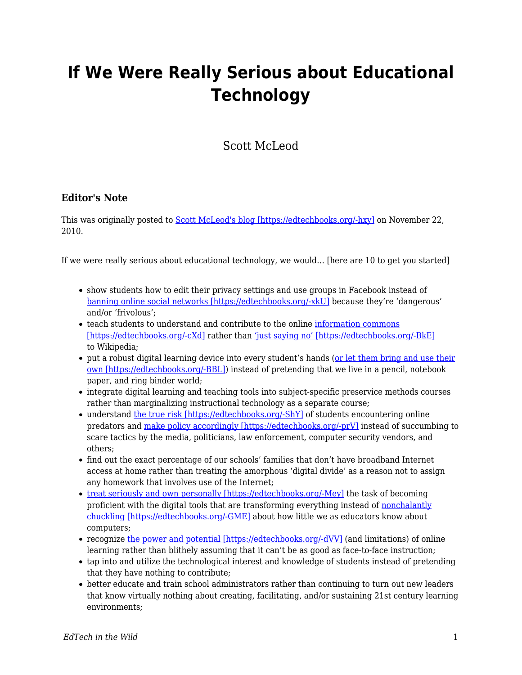## **If We Were Really Serious about Educational Technology**

Scott McLeod

## **Editor's Note**

This was originally posted to [Scott McLeod's blog \[https://edtechbooks.org/-hxy\]](http://dangerouslyirrelevant.org/2010/11/if-we-were-really-serious-about-educational-technology.html) on November 22, 2010.

If we were really serious about educational technology, we would… [here are 10 to get you started]

- show students how to edit their privacy settings and use groups in Facebook instead of [banning online social networks \[https://edtechbooks.org/-xkU\]](http://dangerouslyirrelevant.org/2010/09/video-response-to-principal-who-bans-social-media.html) because they're 'dangerous' and/or 'frivolous';
- teach students to understand and contribute to the online [information commons](http://en.wikipedia.org/wiki/Information_Commons) [\[https://edtechbooks.org/-cXd\]](http://en.wikipedia.org/wiki/Information_Commons) rather than ['just saying no' \[https://edtechbooks.org/-BkE\]](http://dangerouslyirrelevant.org/2007/11/just-say-no-to.html) to Wikipedia;
- put a robust digital learning device into every student's hands ([or let them bring and use their](http://dangerouslyirrelevant.org/2009/03/slide-banning-student-computers.html) [own \[https://edtechbooks.org/-BBL\]](http://dangerouslyirrelevant.org/2009/03/slide-banning-student-computers.html)) instead of pretending that we live in a pencil, notebook paper, and ring binder world;
- integrate digital learning and teaching tools into subject-specific preservice methods courses rather than marginalizing instructional technology as a separate course;
- understand [the true risk \[https://edtechbooks.org/-ShY\]](http://www.unh.edu/ccrc/internet-crimes/) of students encountering online predators and [make policy accordingly \[https://edtechbooks.org/-prV\]](http://cyber.law.harvard.edu/pubrelease/isttf/) instead of succumbing to scare tactics by the media, politicians, law enforcement, computer security vendors, and others;
- find out the exact percentage of our schools' families that don't have broadband Internet access at home rather than treating the amorphous 'digital divide' as a reason not to assign any homework that involves use of the Internet;
- [treat seriously and own personally \[https://edtechbooks.org/-Mey\]](http://dangerouslyirrelevant.org/2010/09/we-cant-let-educators-off-the-hook.html) the task of becoming proficient with the digital tools that are transforming everything instead of [nonchalantly](http://dangerouslyirrelevant.org/2009/08/im-not-good-at-math-im-not-very-good-at-computers.html) [chuckling \[https://edtechbooks.org/-GME\]](http://dangerouslyirrelevant.org/2009/08/im-not-good-at-math-im-not-very-good-at-computers.html) about how little we as educators know about computers;
- recognize [the power and potential \[https://edtechbooks.org/-dVV\]](http://www2.ed.gov/rschstat/eval/tech/evidence-based-practices/finalreport.pdf) (and limitations) of online learning rather than blithely assuming that it can't be as good as face-to-face instruction;
- tap into and utilize the technological interest and knowledge of students instead of pretending that they have nothing to contribute;
- better educate and train school administrators rather than continuing to turn out new leaders that know virtually nothing about creating, facilitating, and/or sustaining 21st century learning environments;